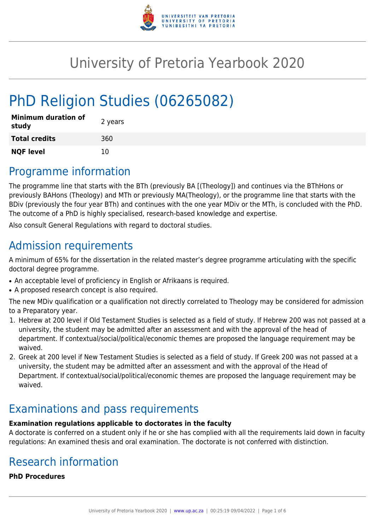

# University of Pretoria Yearbook 2020

# PhD Religion Studies (06265082)

| <b>Minimum duration of</b><br>study | 2 years |
|-------------------------------------|---------|
| <b>Total credits</b>                | 360     |
| <b>NQF level</b>                    | 10      |

### Programme information

The programme line that starts with the BTh (previously BA [(Theology]) and continues via the BThHons or previously BAHons (Theology) and MTh or previously MA(Theology), or the programme line that starts with the BDiv (previously the four year BTh) and continues with the one year MDiv or the MTh, is concluded with the PhD. The outcome of a PhD is highly specialised, research-based knowledge and expertise.

Also consult General Regulations with regard to doctoral studies.

# Admission requirements

A minimum of 65% for the dissertation in the related master's degree programme articulating with the specific doctoral degree programme.

- An acceptable level of proficiency in English or Afrikaans is required.
- A proposed research concept is also required.

The new MDiv qualification or a qualification not directly correlated to Theology may be considered for admission to a Preparatory year.

- 1. Hebrew at 200 level if Old Testament Studies is selected as a field of study. If Hebrew 200 was not passed at a university, the student may be admitted after an assessment and with the approval of the head of department. If contextual/social/political/economic themes are proposed the language requirement may be waived.
- 2. Greek at 200 level if New Testament Studies is selected as a field of study. If Greek 200 was not passed at a university, the student may be admitted after an assessment and with the approval of the Head of Department. If contextual/social/political/economic themes are proposed the language requirement may be waived.

# Examinations and pass requirements

#### **Examination regulations applicable to doctorates in the faculty**

A doctorate is conferred on a student only if he or she has complied with all the requirements laid down in faculty regulations: An examined thesis and oral examination. The doctorate is not conferred with distinction.

# Research information

**PhD Procedures**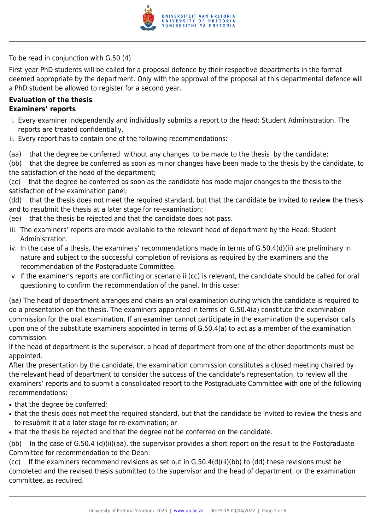

To be read in conjunction with G.50 (4)

First year PhD students will be called for a proposal defence by their respective departments in the format deemed appropriate by the department. Only with the approval of the proposal at this departmental defence will a PhD student be allowed to register for a second year.

#### **Evaluation of the thesis Examiners' reports**

- i. Every examiner independently and individually submits a report to the Head: Student Administration. The reports are treated confidentially.
- ii. Every report has to contain one of the following recommendations:
- (aa) that the degree be conferred without any changes to be made to the thesis by the candidate;
- (bb) that the degree be conferred as soon as minor changes have been made to the thesis by the candidate, to the satisfaction of the head of the department;
- (cc) that the degree be conferred as soon as the candidate has made major changes to the thesis to the satisfaction of the examination panel;
- (dd) that the thesis does not meet the required standard, but that the candidate be invited to review the thesis and to resubmit the thesis at a later stage for re-examination;
- (ee) that the thesis be rejected and that the candidate does not pass.
- iii. The examiners' reports are made available to the relevant head of department by the Head: Student Administration.
- iv. In the case of a thesis, the examiners' recommendations made in terms of G.50.4(d)(ii) are preliminary in nature and subject to the successful completion of revisions as required by the examiners and the recommendation of the Postgraduate Committee.
- v. If the examiner's reports are conflicting or scenario ii (cc) is relevant, the candidate should be called for oral questioning to confirm the recommendation of the panel. In this case:
- (aa) The head of department arranges and chairs an oral examination during which the candidate is required to do a presentation on the thesis. The examiners appointed in terms of G.50.4(a) constitute the examination commission for the oral examination. If an examiner cannot participate in the examination the supervisor calls upon one of the substitute examiners appointed in terms of G.50.4(a) to act as a member of the examination commission.
- If the head of department is the supervisor, a head of department from one of the other departments must be appointed.
- After the presentation by the candidate, the examination commission constitutes a closed meeting chaired by the relevant head of department to consider the success of the candidate's representation, to review all the examiners' reports and to submit a consolidated report to the Postgraduate Committee with one of the following recommendations:
- that the degree be conferred:
- that the thesis does not meet the required standard, but that the candidate be invited to review the thesis and to resubmit it at a later stage for re-examination; or
- that the thesis be rejected and that the degree not be conferred on the candidate.

(bb) In the case of G.50.4 (d)(ii)(aa), the supervisor provides a short report on the result to the Postgraduate Committee for recommendation to the Dean.

(cc) If the examiners recommend revisions as set out in G.50.4(d)(ii)(bb) to (dd) these revisions must be completed and the revised thesis submitted to the supervisor and the head of department, or the examination committee, as required.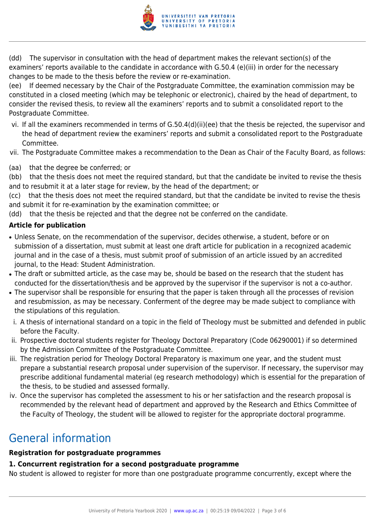

(dd) The supervisor in consultation with the head of department makes the relevant section(s) of the examiners' reports available to the candidate in accordance with G.50.4 (e)(iii) in order for the necessary changes to be made to the thesis before the review or re-examination.

(ee) If deemed necessary by the Chair of the Postgraduate Committee, the examination commission may be constituted in a closed meeting (which may be telephonic or electronic), chaired by the head of department, to consider the revised thesis, to review all the examiners' reports and to submit a consolidated report to the Postgraduate Committee.

- vi. If all the examiners recommended in terms of G.50.4(d)(ii)(ee) that the thesis be rejected, the supervisor and the head of department review the examiners' reports and submit a consolidated report to the Postgraduate Committee.
- vii. The Postgraduate Committee makes a recommendation to the Dean as Chair of the Faculty Board, as follows:
- (aa) that the degree be conferred; or

(bb) that the thesis does not meet the required standard, but that the candidate be invited to revise the thesis and to resubmit it at a later stage for review, by the head of the department; or

(cc) that the thesis does not meet the required standard, but that the candidate be invited to revise the thesis and submit it for re-examination by the examination committee; or

(dd) that the thesis be rejected and that the degree not be conferred on the candidate.

#### **Article for publication**

- Unless Senate, on the recommendation of the supervisor, decides otherwise, a student, before or on submission of a dissertation, must submit at least one draft article for publication in a recognized academic journal and in the case of a thesis, must submit proof of submission of an article issued by an accredited journal, to the Head: Student Administration.
- The draft or submitted article, as the case may be, should be based on the research that the student has conducted for the dissertation/thesis and be approved by the supervisor if the supervisor is not a co-author.
- The supervisor shall be responsible for ensuring that the paper is taken through all the processes of revision and resubmission, as may be necessary. Conferment of the degree may be made subject to compliance with the stipulations of this regulation.
- i. A thesis of international standard on a topic in the field of Theology must be submitted and defended in public before the Faculty.
- ii. Prospective doctoral students register for Theology Doctoral Preparatory (Code 06290001) if so determined by the Admission Committee of the Postgraduate Committee.
- iii. The registration period for Theology Doctoral Preparatory is maximum one year, and the student must prepare a substantial research proposal under supervision of the supervisor. If necessary, the supervisor may prescribe additional fundamental material (eg research methodology) which is essential for the preparation of the thesis, to be studied and assessed formally.
- iv. Once the supervisor has completed the assessment to his or her satisfaction and the research proposal is recommended by the relevant head of department and approved by the Research and Ethics Committee of the Faculty of Theology, the student will be allowed to register for the appropriate doctoral programme.

# General information

#### **Registration for postgraduate programmes**

#### **1. Concurrent registration for a second postgraduate programme**

No student is allowed to register for more than one postgraduate programme concurrently, except where the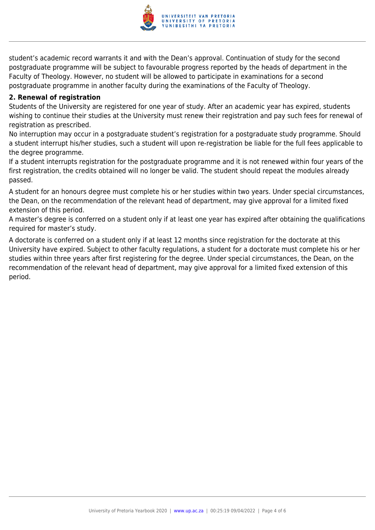

student's academic record warrants it and with the Dean's approval. Continuation of study for the second postgraduate programme will be subject to favourable progress reported by the heads of department in the Faculty of Theology. However, no student will be allowed to participate in examinations for a second postgraduate programme in another faculty during the examinations of the Faculty of Theology.

#### **2. Renewal of registration**

Students of the University are registered for one year of study. After an academic year has expired, students wishing to continue their studies at the University must renew their registration and pay such fees for renewal of registration as prescribed.

No interruption may occur in a postgraduate student's registration for a postgraduate study programme. Should a student interrupt his/her studies, such a student will upon re-registration be liable for the full fees applicable to the degree programme.

If a student interrupts registration for the postgraduate programme and it is not renewed within four years of the first registration, the credits obtained will no longer be valid. The student should repeat the modules already passed.

A student for an honours degree must complete his or her studies within two years. Under special circumstances, the Dean, on the recommendation of the relevant head of department, may give approval for a limited fixed extension of this period.

A master's degree is conferred on a student only if at least one year has expired after obtaining the qualifications required for master's study.

A doctorate is conferred on a student only if at least 12 months since registration for the doctorate at this University have expired. Subject to other faculty regulations, a student for a doctorate must complete his or her studies within three years after first registering for the degree. Under special circumstances, the Dean, on the recommendation of the relevant head of department, may give approval for a limited fixed extension of this period.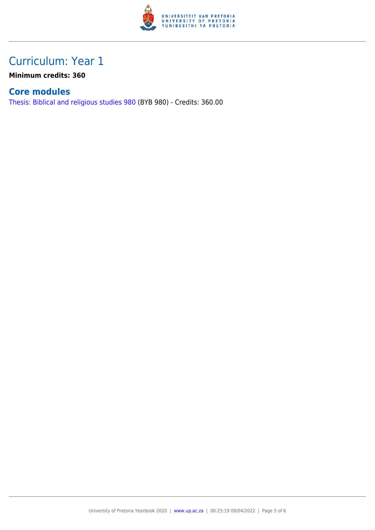

### Curriculum: Year 1

**Minimum credits: 360**

### **Core modules**

[Thesis: Biblical and religious studies 980](https://www.up.ac.za/faculty-of-education/yearbooks/2020/modules/view/BYB 980) (BYB 980) - Credits: 360.00